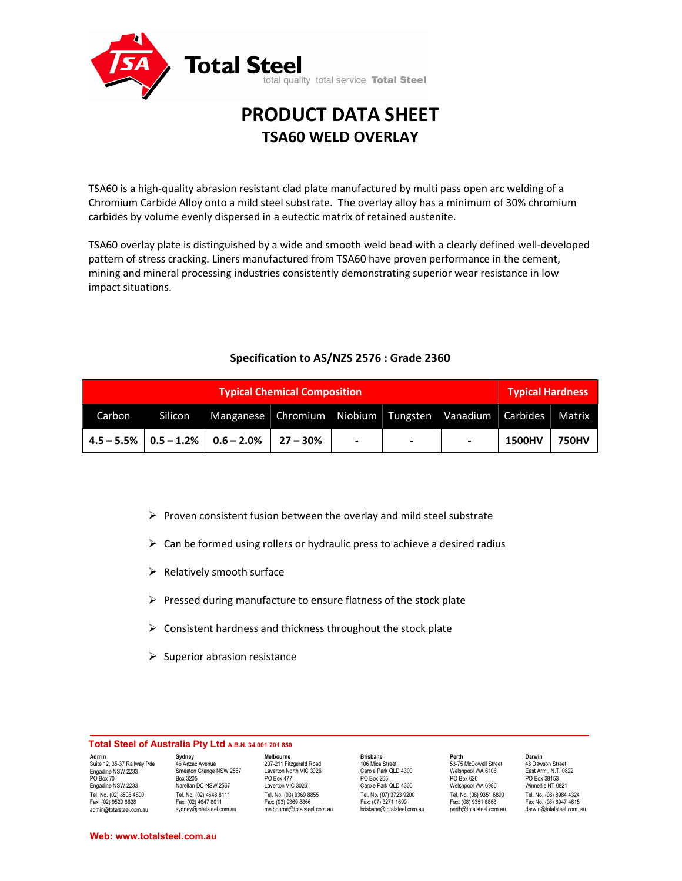

# PRODUCT DATA SHEET TSA60 WELD OVERLAY

TSA60 is a high-quality abrasion resistant clad plate manufactured by multi pass open arc welding of a Chromium Carbide Alloy onto a mild steel substrate. The overlay alloy has a minimum of 30% chromium carbides by volume evenly dispersed in a eutectic matrix of retained austenite.

TSA60 overlay plate is distinguished by a wide and smooth weld bead with a clearly defined well-developed pattern of stress cracking. Liners manufactured from TSA60 have proven performance in the cement, mining and mineral processing industries consistently demonstrating superior wear resistance in low impact situations.

## Specification to AS/NZS 2576 : Grade 2360

|        | <b>Typical Hardness</b> |                                                       |                |        |   |               |              |
|--------|-------------------------|-------------------------------------------------------|----------------|--------|---|---------------|--------------|
| Carbon | Silicon                 | Manganese Chromium Niobium Tungsten Vanadium Carbides |                |        |   |               | Matrix       |
|        |                         | $4.5 - 5.5\%$   0.5 - 1.2%   0.6 - 2.0%   27 - 30%    | $\blacksquare$ | $\sim$ | - | <b>1500HV</b> | <b>750HV</b> |

- $\triangleright$  Proven consistent fusion between the overlay and mild steel substrate
- $\triangleright$  Can be formed using rollers or hydraulic press to achieve a desired radius
- $\triangleright$  Relatively smooth surface
- $\triangleright$  Pressed during manufacture to ensure flatness of the stock plate
- $\triangleright$  Consistent hardness and thickness throughout the stock plate
- $\triangleright$  Superior abrasion resistance

#### Total Steel of Australia Pty Ltd A.B.N. 34 001 201 850

Admin Suite 12, 35-37 Railway Pde Engadine NSW 2233 PO Box 70 Engadine NSW 2233 Tel. No. (02) 8508 4800 Fax: (02) 9520 8628 admin@totalsteel.com.au

**Sydney**<br>46 Anzac Avenue Smeaton Grange NSW 2567 Box 3205 Narellan DC NSW 2567 Tel. No. (02) 4648 8111 Fax: (02) 4647 8011 sydney@totalsteel.com.au

Melbourne 207-211 Fitzgerald Road Laverton North VIC 3026 PO Box 477 Laverton VIC 3026 Tel. No. (03) 9369 8855 Fax: (03) 9369 8866 melbourne@totalsteel.com.au

Brisbane 106 Mica Street Carole Park QLD 4300 PO Box 265 Carole Park QLD 4300 Tel. No. (07) 3723 9200 Fax: (07) 3271 1699 brisbane@totalsteel.com.au

Perth Darwin 53-75 McDowell Street 48 Dawson Street Welshpool WA 6106 East Arm,. N.T. 0822<br>PO Box 626 PO Box 38153 PO Box 626 PO Box 38153 Welshpool WA 6986 Winnellie NT 0821

Tel. No. (08) 9351 6800<br>
Fax: (08) 9351 6868<br>
Fax No. (08) 8947 4615 Fax: (08) 9351 6868<br>
Fax No. (08) 8947 4615<br>
perth@totalsteel.com.au darwin@totalsteel.com.. perth@totalsteel.com.au darwin@totalsteel.com..au

Web: www.totalsteel.com.au